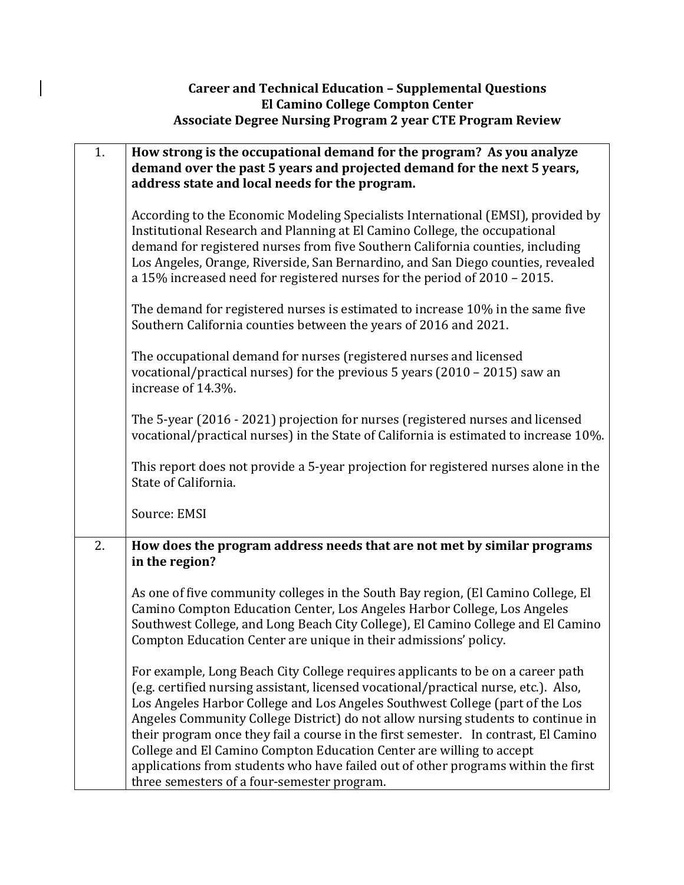## **Career and Technical Education – Supplemental Questions El Camino College Compton Center Associate Degree Nursing Program 2 year CTE Program Review**

| 1. | How strong is the occupational demand for the program? As you analyze<br>demand over the past 5 years and projected demand for the next 5 years,<br>address state and local needs for the program.                                                                                                                                                                                                                                                                                                                                                                                                                                              |
|----|-------------------------------------------------------------------------------------------------------------------------------------------------------------------------------------------------------------------------------------------------------------------------------------------------------------------------------------------------------------------------------------------------------------------------------------------------------------------------------------------------------------------------------------------------------------------------------------------------------------------------------------------------|
|    | According to the Economic Modeling Specialists International (EMSI), provided by<br>Institutional Research and Planning at El Camino College, the occupational<br>demand for registered nurses from five Southern California counties, including<br>Los Angeles, Orange, Riverside, San Bernardino, and San Diego counties, revealed<br>a 15% increased need for registered nurses for the period of 2010 - 2015.                                                                                                                                                                                                                               |
|    | The demand for registered nurses is estimated to increase 10% in the same five<br>Southern California counties between the years of 2016 and 2021.                                                                                                                                                                                                                                                                                                                                                                                                                                                                                              |
|    | The occupational demand for nurses (registered nurses and licensed<br>vocational/practical nurses) for the previous 5 years $(2010 - 2015)$ saw an<br>increase of 14.3%.                                                                                                                                                                                                                                                                                                                                                                                                                                                                        |
|    | The 5-year (2016 - 2021) projection for nurses (registered nurses and licensed<br>vocational/practical nurses) in the State of California is estimated to increase 10%.                                                                                                                                                                                                                                                                                                                                                                                                                                                                         |
|    | This report does not provide a 5-year projection for registered nurses alone in the<br>State of California.                                                                                                                                                                                                                                                                                                                                                                                                                                                                                                                                     |
|    | Source: EMSI                                                                                                                                                                                                                                                                                                                                                                                                                                                                                                                                                                                                                                    |
| 2. | How does the program address needs that are not met by similar programs<br>in the region?                                                                                                                                                                                                                                                                                                                                                                                                                                                                                                                                                       |
|    | As one of five community colleges in the South Bay region, (El Camino College, El<br>Camino Compton Education Center, Los Angeles Harbor College, Los Angeles<br>Southwest College, and Long Beach City College), El Camino College and El Camino<br>Compton Education Center are unique in their admissions' policy.                                                                                                                                                                                                                                                                                                                           |
|    | For example, Long Beach City College requires applicants to be on a career path<br>(e.g. certified nursing assistant, licensed vocational/practical nurse, etc.). Also,<br>Los Angeles Harbor College and Los Angeles Southwest College (part of the Los<br>Angeles Community College District) do not allow nursing students to continue in<br>their program once they fail a course in the first semester. In contrast, El Camino<br>College and El Camino Compton Education Center are willing to accept<br>applications from students who have failed out of other programs within the first<br>three semesters of a four-semester program. |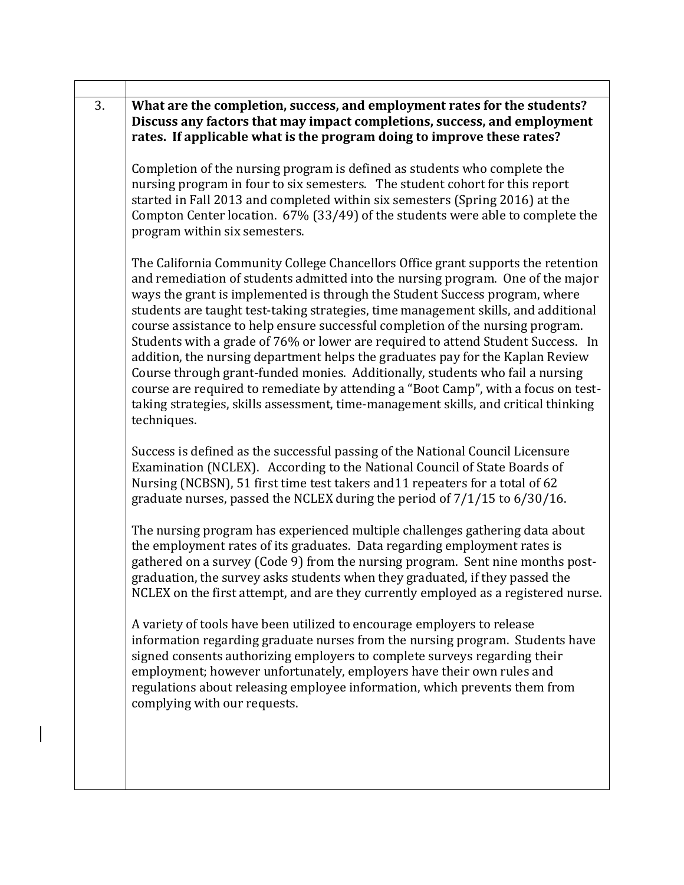| 3. | What are the completion, success, and employment rates for the students?<br>Discuss any factors that may impact completions, success, and employment<br>rates. If applicable what is the program doing to improve these rates?                                                                                                                                                                                                                                                                                                                                                                                                                                                                                                                                                                                                                                                |
|----|-------------------------------------------------------------------------------------------------------------------------------------------------------------------------------------------------------------------------------------------------------------------------------------------------------------------------------------------------------------------------------------------------------------------------------------------------------------------------------------------------------------------------------------------------------------------------------------------------------------------------------------------------------------------------------------------------------------------------------------------------------------------------------------------------------------------------------------------------------------------------------|
|    | Completion of the nursing program is defined as students who complete the<br>nursing program in four to six semesters. The student cohort for this report<br>started in Fall 2013 and completed within six semesters (Spring 2016) at the<br>Compton Center location. 67% (33/49) of the students were able to complete the<br>program within six semesters.                                                                                                                                                                                                                                                                                                                                                                                                                                                                                                                  |
|    | The California Community College Chancellors Office grant supports the retention<br>and remediation of students admitted into the nursing program. One of the major<br>ways the grant is implemented is through the Student Success program, where<br>students are taught test-taking strategies, time management skills, and additional<br>course assistance to help ensure successful completion of the nursing program.<br>Students with a grade of 76% or lower are required to attend Student Success. In<br>addition, the nursing department helps the graduates pay for the Kaplan Review<br>Course through grant-funded monies. Additionally, students who fail a nursing<br>course are required to remediate by attending a "Boot Camp", with a focus on test-<br>taking strategies, skills assessment, time-management skills, and critical thinking<br>techniques. |
|    | Success is defined as the successful passing of the National Council Licensure<br>Examination (NCLEX). According to the National Council of State Boards of<br>Nursing (NCBSN), 51 first time test takers and 11 repeaters for a total of 62<br>graduate nurses, passed the NCLEX during the period of 7/1/15 to 6/30/16.                                                                                                                                                                                                                                                                                                                                                                                                                                                                                                                                                     |
|    | The nursing program has experienced multiple challenges gathering data about<br>the employment rates of its graduates. Data regarding employment rates is<br>gathered on a survey (Code 9) from the nursing program. Sent nine months post-<br>graduation, the survey asks students when they graduated, if they passed the<br>NCLEX on the first attempt, and are they currently employed as a registered nurse.                                                                                                                                                                                                                                                                                                                                                                                                                                                             |
|    | A variety of tools have been utilized to encourage employers to release<br>information regarding graduate nurses from the nursing program. Students have<br>signed consents authorizing employers to complete surveys regarding their<br>employment; however unfortunately, employers have their own rules and<br>regulations about releasing employee information, which prevents them from<br>complying with our requests.                                                                                                                                                                                                                                                                                                                                                                                                                                                  |
|    |                                                                                                                                                                                                                                                                                                                                                                                                                                                                                                                                                                                                                                                                                                                                                                                                                                                                               |

Ē.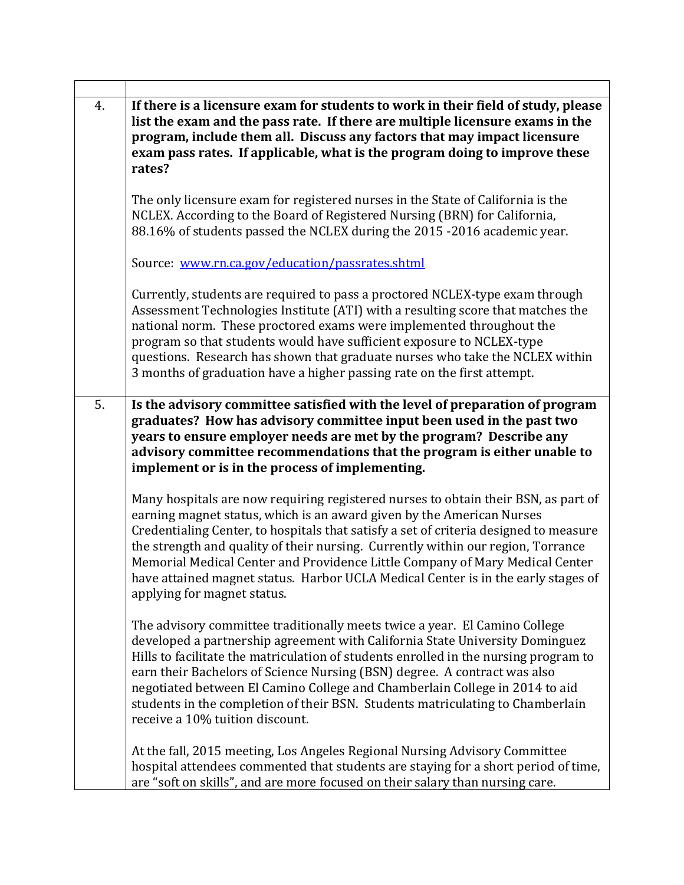| 4. | If there is a licensure exam for students to work in their field of study, please<br>list the exam and the pass rate. If there are multiple licensure exams in the<br>program, include them all. Discuss any factors that may impact licensure<br>exam pass rates. If applicable, what is the program doing to improve these<br>rates?                                                                                                                                                                                                       |
|----|----------------------------------------------------------------------------------------------------------------------------------------------------------------------------------------------------------------------------------------------------------------------------------------------------------------------------------------------------------------------------------------------------------------------------------------------------------------------------------------------------------------------------------------------|
|    | The only licensure exam for registered nurses in the State of California is the<br>NCLEX. According to the Board of Registered Nursing (BRN) for California,<br>88.16% of students passed the NCLEX during the 2015 -2016 academic year.                                                                                                                                                                                                                                                                                                     |
|    | Source: www.rn.ca.gov/education/passrates.shtml                                                                                                                                                                                                                                                                                                                                                                                                                                                                                              |
|    | Currently, students are required to pass a proctored NCLEX-type exam through<br>Assessment Technologies Institute (ATI) with a resulting score that matches the<br>national norm. These proctored exams were implemented throughout the<br>program so that students would have sufficient exposure to NCLEX-type<br>questions. Research has shown that graduate nurses who take the NCLEX within<br>3 months of graduation have a higher passing rate on the first attempt.                                                                  |
| 5. | Is the advisory committee satisfied with the level of preparation of program<br>graduates? How has advisory committee input been used in the past two<br>years to ensure employer needs are met by the program? Describe any<br>advisory committee recommendations that the program is either unable to<br>implement or is in the process of implementing.                                                                                                                                                                                   |
|    | Many hospitals are now requiring registered nurses to obtain their BSN, as part of<br>earning magnet status, which is an award given by the American Nurses<br>Credentialing Center, to hospitals that satisfy a set of criteria designed to measure<br>the strength and quality of their nursing. Currently within our region, Torrance<br>Memorial Medical Center and Providence Little Company of Mary Medical Center<br>have attained magnet status. Harbor UCLA Medical Center is in the early stages of<br>applying for magnet status. |
|    | The advisory committee traditionally meets twice a year. El Camino College<br>developed a partnership agreement with California State University Dominguez<br>Hills to facilitate the matriculation of students enrolled in the nursing program to<br>earn their Bachelors of Science Nursing (BSN) degree. A contract was also<br>negotiated between El Camino College and Chamberlain College in 2014 to aid<br>students in the completion of their BSN. Students matriculating to Chamberlain<br>receive a 10% tuition discount.          |
|    | At the fall, 2015 meeting, Los Angeles Regional Nursing Advisory Committee<br>hospital attendees commented that students are staying for a short period of time,<br>are "soft on skills", and are more focused on their salary than nursing care.                                                                                                                                                                                                                                                                                            |